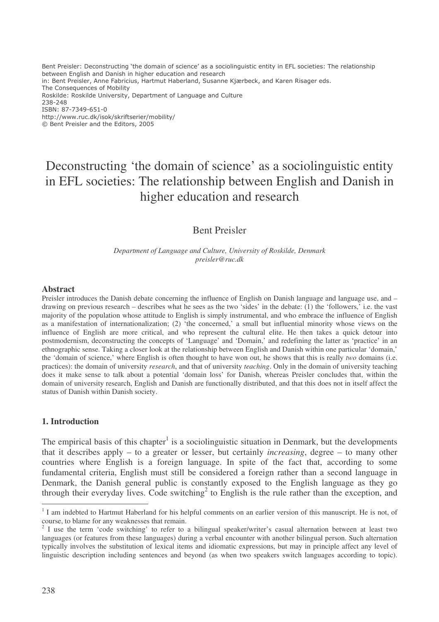Bent Preisler: Deconstructing `the domain of science' as a sociolinguistic entity in EFL societies: The relationship between English and Danish in higher education and research in: Bent Preisler, Anne Fabricius, Hartmut Haberland, Susanne Kjærbeck, and Karen Risager eds. The Consequences of Mobility Roskilde: Roskilde University, Department of Language and Culture 238-248 ISBN: 87-7349-651-0 http://www.ruc.dk/isok/skriftserier/mobility/ © Bent Preisler and the Editors, 2005

# Deconstructing 'the domain of science' as a sociolinguistic entity in EFL societies: The relationship between English and Danish in higher education and research

# Bent Preisler

*Department of Language and Culture, University of Roskilde, Denmark preisler@ruc.dk*

#### **Abstract**

Preisler introduces the Danish debate concerning the influence of English on Danish language and language use, and – drawing on previous research – describes what he sees as the two 'sides' in the debate: (1) the 'followers,' i.e. the vast majority of the population whose attitude to English is simply instrumental, and who embrace the influence of English as a manifestation of internationalization; (2) 'the concerned,' a small but influential minority whose views on the influence of English are more critical, and who represent the cultural elite. He then takes a quick detour into postmodernism, deconstructing the concepts of 'Language' and 'Domain,' and redefining the latter as 'practice' in an ethnographic sense. Taking a closer look at the relationship between English and Danish within one particular 'domain,' the 'domain of science,' where English is often thought to have won out, he shows that this is really *two* domains (i.e. practices): the domain of university *research*, and that of university *teaching*. Only in the domain of university teaching does it make sense to talk about a potential 'domain loss' for Danish, whereas Preisler concludes that, within the domain of university research, English and Danish are functionally distributed, and that this does not in itself affect the status of Danish within Danish society.

#### **1. Introduction**

The empirical basis of this chapter<sup>1</sup> is a sociolinguistic situation in Denmark, but the developments that it describes apply – to a greater or lesser, but certainly *increasing*, degree – to many other countries where English is a foreign language. In spite of the fact that, according to some fundamental criteria, English must still be considered a foreign rather than a second language in Denmark, the Danish general public is constantly exposed to the English language as they go through their everyday lives. Code switching<sup>2</sup> to English is the rule rather than the exception, and

<sup>&</sup>lt;sup>1</sup> I am indebted to Hartmut Haberland for his helpful comments on an earlier version of this manuscript. He is not, of course, to blame for any weaknesses that remain.

 $2$  I use the term 'code switching' to refer to a bilingual speaker/writer's casual alternation between at least two languages (or features from these languages) during a verbal encounter with another bilingual person. Such alternation typically involves the substitution of lexical items and idiomatic expressions, but may in principle affect any level of linguistic description including sentences and beyond (as when two speakers switch languages according to topic).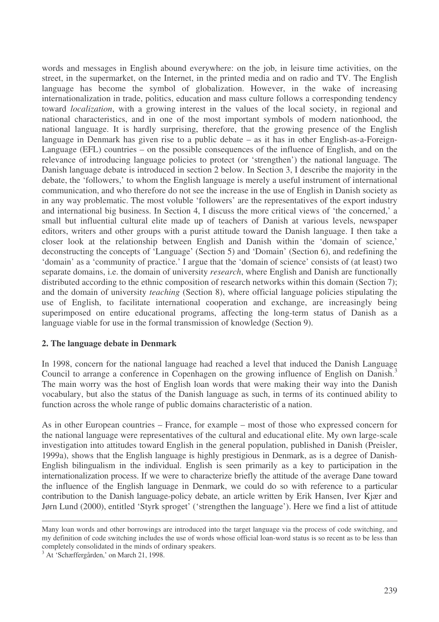words and messages in English abound everywhere: on the job, in leisure time activities, on the street, in the supermarket, on the Internet, in the printed media and on radio and TV. The English language has become the symbol of globalization. However, in the wake of increasing internationalization in trade, politics, education and mass culture follows a corresponding tendency toward *localization*, with a growing interest in the values of the local society, in regional and national characteristics, and in one of the most important symbols of modern nationhood, the national language. It is hardly surprising, therefore, that the growing presence of the English language in Denmark has given rise to a public debate – as it has in other English-as-a-Foreign-Language (EFL) countries – on the possible consequences of the influence of English, and on the relevance of introducing language policies to protect (or 'strengthen') the national language. The Danish language debate is introduced in section 2 below. In Section 3, I describe the majority in the debate, the 'followers,' to whom the English language is merely a useful instrument of international communication, and who therefore do not see the increase in the use of English in Danish society as in any way problematic. The most voluble 'followers' are the representatives of the export industry and international big business. In Section 4, I discuss the more critical views of 'the concerned,' a small but influential cultural elite made up of teachers of Danish at various levels, newspaper editors, writers and other groups with a purist attitude toward the Danish language. I then take a closer look at the relationship between English and Danish within the 'domain of science,' deconstructing the concepts of 'Language' (Section 5) and 'Domain' (Section 6), and redefining the 'domain' as a 'community of practice.' I argue that the 'domain of science' consists of (at least) two separate domains, i.e. the domain of university *research*, where English and Danish are functionally distributed according to the ethnic composition of research networks within this domain (Section 7); and the domain of university *teaching* (Section 8), where official language policies stipulating the use of English, to facilitate international cooperation and exchange, are increasingly being superimposed on entire educational programs, affecting the long-term status of Danish as a language viable for use in the formal transmission of knowledge (Section 9).

#### **2. The language debate in Denmark**

In 1998, concern for the national language had reached a level that induced the Danish Language Council to arrange a conference in Copenhagen on the growing influence of English on Danish.<sup>3</sup> The main worry was the host of English loan words that were making their way into the Danish vocabulary, but also the status of the Danish language as such, in terms of its continued ability to function across the whole range of public domains characteristic of a nation.

As in other European countries – France, for example – most of those who expressed concern for the national language were representatives of the cultural and educational elite. My own large-scale investigation into attitudes toward English in the general population, published in Danish (Preisler, 1999a), shows that the English language is highly prestigious in Denmark, as is a degree of Danish-English bilingualism in the individual. English is seen primarily as a key to participation in the internationalization process. If we were to characterize briefly the attitude of the average Dane toward the influence of the English language in Denmark, we could do so with reference to a particular contribution to the Danish language-policy debate, an article written by Erik Hansen, Iver Kjær and Jørn Lund (2000), entitled 'Styrk sproget' ('strengthen the language'). Here we find a list of attitude

Many loan words and other borrowings are introduced into the target language via the process of code switching, and my definition of code switching includes the use of words whose official loan-word status is so recent as to be less than completely consolidated in the minds of ordinary speakers.

<sup>&</sup>lt;sup>3</sup> At 'Schæffergården,' on March 21, 1998.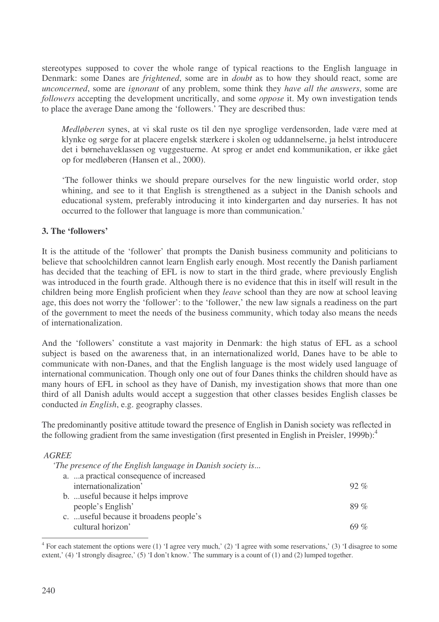stereotypes supposed to cover the whole range of typical reactions to the English language in Denmark: some Danes are *frightened*, some are in *doubt* as to how they should react, some are *unconcerned*, some are *ignorant* of any problem, some think they *have all the answers*, some are *followers* accepting the development uncritically, and some *oppose* it. My own investigation tends to place the average Dane among the 'followers.' They are described thus:

*Medløberen* synes, at vi skal ruste os til den nye sproglige verdensorden, lade være med at klynke og sørge for at placere engelsk stærkere i skolen og uddannelserne, ja helst introducere det i børnehaveklassen og vuggestuerne. At sprog er andet end kommunikation, er ikke gået op for medløberen (Hansen et al., 2000).

'The follower thinks we should prepare ourselves for the new linguistic world order, stop whining, and see to it that English is strengthened as a subject in the Danish schools and educational system, preferably introducing it into kindergarten and day nurseries. It has not occurred to the follower that language is more than communication.'

## **3. The 'followers'**

It is the attitude of the 'follower' that prompts the Danish business community and politicians to believe that schoolchildren cannot learn English early enough. Most recently the Danish parliament has decided that the teaching of EFL is now to start in the third grade, where previously English was introduced in the fourth grade. Although there is no evidence that this in itself will result in the children being more English proficient when they *leave* school than they are now at school leaving age, this does not worry the 'follower': to the 'follower,' the new law signals a readiness on the part of the government to meet the needs of the business community, which today also means the needs of internationalization.

And the 'followers' constitute a vast majority in Denmark: the high status of EFL as a school subject is based on the awareness that, in an internationalized world, Danes have to be able to communicate with non-Danes, and that the English language is the most widely used language of international communication. Though only one out of four Danes thinks the children should have as many hours of EFL in school as they have of Danish, my investigation shows that more than one third of all Danish adults would accept a suggestion that other classes besides English classes be conducted *in English*, e.g. geography classes.

The predominantly positive attitude toward the presence of English in Danish society was reflected in the following gradient from the same investigation (first presented in English in Preisler, 1999b): 4

#### *AGREE*

| $92\%$  |
|---------|
|         |
| $89\%$  |
|         |
| 69 $\%$ |
|         |

 $4$  For each statement the options were (1) 'I agree very much,' (2) 'I agree with some reservations,' (3) 'I disagree to some extent,' (4) 'I strongly disagree,' (5) 'I don't know.' The summary is a count of (1) and (2) lumped together.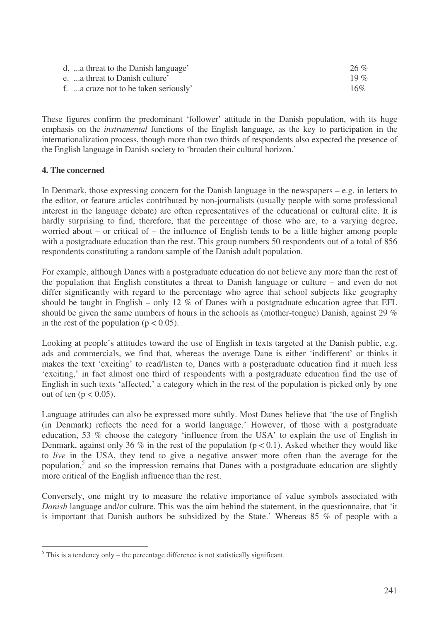| d. a threat to the Danish language'   | 26 %   |
|---------------------------------------|--------|
| e. a threat to Danish culture'        | 19 %   |
| f. a craze not to be taken seriously' | $16\%$ |

These figures confirm the predominant 'follower' attitude in the Danish population, with its huge emphasis on the *instrumental* functions of the English language, as the key to participation in the internationalization process, though more than two thirds of respondents also expected the presence of the English language in Danish society to 'broaden their cultural horizon.'

## **4. The concerned**

In Denmark, those expressing concern for the Danish language in the newspapers – e.g. in letters to the editor, or feature articles contributed by non-journalists (usually people with some professional interest in the language debate) are often representatives of the educational or cultural elite. It is hardly surprising to find, therefore, that the percentage of those who are, to a varying degree, worried about – or critical of – the influence of English tends to be a little higher among people with a postgraduate education than the rest. This group numbers 50 respondents out of a total of 856 respondents constituting a random sample of the Danish adult population.

For example, although Danes with a postgraduate education do not believe any more than the rest of the population that English constitutes a threat to Danish language or culture – and even do not differ significantly with regard to the percentage who agree that school subjects like geography should be taught in English – only 12 % of Danes with a postgraduate education agree that EFL should be given the same numbers of hours in the schools as (mother-tongue) Danish, against 29 % in the rest of the population ( $p < 0.05$ ).

Looking at people's attitudes toward the use of English in texts targeted at the Danish public, e.g. ads and commercials, we find that, whereas the average Dane is either 'indifferent' or thinks it makes the text 'exciting' to read/listen to, Danes with a postgraduate education find it much less 'exciting,' in fact almost one third of respondents with a postgraduate education find the use of English in such texts 'affected,' a category which in the rest of the population is picked only by one out of ten  $(p < 0.05)$ .

Language attitudes can also be expressed more subtly. Most Danes believe that 'the use of English (in Denmark) reflects the need for a world language.' However, of those with a postgraduate education, 53 % choose the category 'influence from the USA' to explain the use of English in Denmark, against only 36 % in the rest of the population ( $p < 0.1$ ). Asked whether they would like to *live* in the USA, they tend to give a negative answer more often than the average for the population,<sup>5</sup> and so the impression remains that Danes with a postgraduate education are slightly more critical of the English influence than the rest.

Conversely, one might try to measure the relative importance of value symbols associated with *Danish* language and/or culture. This was the aim behind the statement, in the questionnaire, that 'it is important that Danish authors be subsidized by the State.' Whereas 85 % of people with a

 $<sup>5</sup>$  This is a tendency only – the percentage difference is not statistically significant.</sup>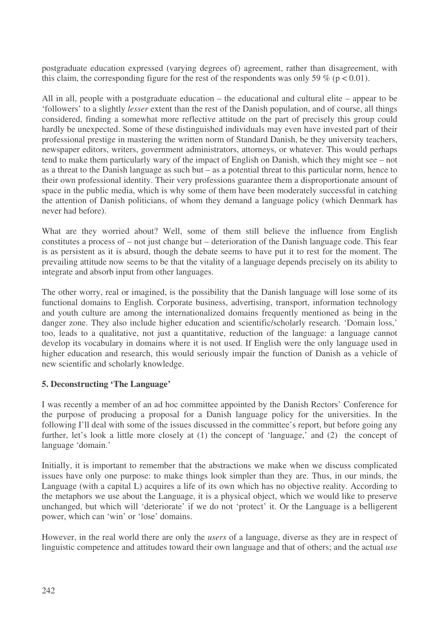postgraduate education expressed (varying degrees of) agreement, rather than disagreement, with this claim, the corresponding figure for the rest of the respondents was only 59 % ( $p < 0.01$ ).

All in all, people with a postgraduate education – the educational and cultural elite – appear to be 'followers' to a slightly *lesser* extent than the rest of the Danish population, and of course, all things considered, finding a somewhat more reflective attitude on the part of precisely this group could hardly be unexpected. Some of these distinguished individuals may even have invested part of their professional prestige in mastering the written norm of Standard Danish, be they university teachers, newspaper editors, writers, government administrators, attorneys, or whatever. This would perhaps tend to make them particularly wary of the impact of English on Danish, which they might see – not as a threat to the Danish language as such but – as a potential threat to this particular norm, hence to their own professional identity. Their very professions guarantee them a disproportionate amount of space in the public media, which is why some of them have been moderately successful in catching the attention of Danish politicians, of whom they demand a language policy (which Denmark has never had before).

What are they worried about? Well, some of them still believe the influence from English constitutes a process of – not just change but – deterioration of the Danish language code. This fear is as persistent as it is absurd, though the debate seems to have put it to rest for the moment. The prevailing attitude now seems to be that the vitality of a language depends precisely on its ability to integrate and absorb input from other languages.

The other worry, real or imagined, is the possibility that the Danish language will lose some of its functional domains to English. Corporate business, advertising, transport, information technology and youth culture are among the internationalized domains frequently mentioned as being in the danger zone. They also include higher education and scientific/scholarly research. 'Domain loss,' too, leads to a qualitative, not just a quantitative, reduction of the language: a language cannot develop its vocabulary in domains where it is not used. If English were the only language used in higher education and research, this would seriously impair the function of Danish as a vehicle of new scientific and scholarly knowledge.

## **5. Deconstructing 'The Language'**

I was recently a member of an ad hoc committee appointed by the Danish Rectors' Conference for the purpose of producing a proposal for a Danish language policy for the universities. In the following I'll deal with some of the issues discussed in the committee's report, but before going any further, let's look a little more closely at (1) the concept of 'language,' and (2) the concept of language 'domain.'

Initially, it is important to remember that the abstractions we make when we discuss complicated issues have only one purpose: to make things look simpler than they are. Thus, in our minds, the Language (with a capital L) acquires a life of its own which has no objective reality. According to the metaphors we use about the Language, it is a physical object, which we would like to preserve unchanged, but which will 'deteriorate' if we do not 'protect' it. Or the Language is a belligerent power, which can 'win' or 'lose' domains.

However, in the real world there are only the *users* of a language, diverse as they are in respect of linguistic competence and attitudes toward their own language and that of others; and the actual *use*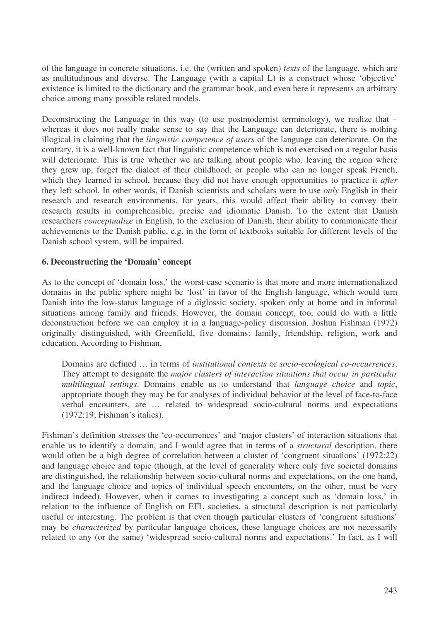of the language in concrete situations, i.e. the (written and spoken) *texts* of the language, which are as multitudinous and diverse. The Language (with a capital L) is a construct whose 'objective' existence is limited to the dictionary and the grammar book, and even here it represents an arbitrary choice among many possible related models.

Deconstructing the Language in this way (to use postmodernist terminology), we realize that – whereas it does not really make sense to say that the Language can deteriorate, there is nothing illogical in claiming that the *linguistic competence of users* of the language can deteriorate. On the contrary, it is a well-known fact that linguistic competence which is not exercised on a regular basis will deteriorate. This is true whether we are talking about people who, leaving the region where they grew up, forget the dialect of their childhood, or people who can no longer speak French, which they learned in school, because they did not have enough opportunities to practice it *after* they left school. In other words, if Danish scientists and scholars were to use *only* English in their research and research environments, for years, this would affect their ability to convey their research results in comprehensible, precise and idiomatic Danish. To the extent that Danish researchers *conceptualize* in English, to the exclusion of Danish, their ability to communicate their achievements to the Danish public, e.g. in the form of textbooks suitable for different levels of the Danish school system, will be impaired.

## **6. Deconstructing the 'Domain' concept**

As to the concept of 'domain loss,' the worst-case scenario is that more and more internationalized domains in the public sphere might be 'lost' in favor of the English language, which would turn Danish into the low-status language of a diglossic society, spoken only at home and in informal situations among family and friends. However, the domain concept, too, could do with a little deconstruction before we can employ it in a language-policy discussion. Joshua Fishman (1972) originally distinguished, with Greenfield, five domains: family, friendship, religion, work and education. According to Fishman,

Domains are defined … in terms of *institutional contexts* or *socio-ecological co-occurrences*. They attempt to designate the *major clusters of interaction situations that occur in particular multilingual settings*. Domains enable us to understand that *language choice* and *topic*, appropriate though they may be for analyses of individual behavior at the level of face-to-face verbal encounters, are … related to widespread socio-cultural norms and expectations (1972:19; Fishman's italics).

Fishman's definition stresses the 'co-occurrences' and 'major clusters' of interaction situations that enable us to identify a domain, and I would agree that in terms of a *structural* description, there would often be a high degree of correlation between a cluster of 'congruent situations' (1972:22) and language choice and topic (though, at the level of generality where only five societal domains are distinguished, the relationship between socio-cultural norms and expectations, on the one hand, and the language choice and topics of individual speech encounters, on the other, must be very indirect indeed). However, when it comes to investigating a concept such as 'domain loss,' in relation to the influence of English on EFL societies, a structural description is not particularly useful or interesting. The problem is that even though particular clusters of 'congruent situations' may be *characterized* by particular language choices, these language choices are not necessarily related to any (or the same) 'widespread socio-cultural norms and expectations.' In fact, as I will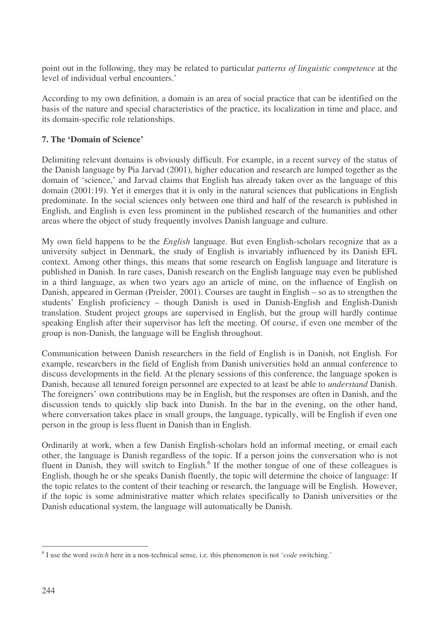point out in the following, they may be related to particular *patterns of linguistic competence* at the level of individual verbal encounters.'

According to my own definition, a domain is an area of social practice that can be identified on the basis of the nature and special characteristics of the practice, its localization in time and place, and its domain-specific role relationships.

# **7. The 'Domain of Science'**

Delimiting relevant domains is obviously difficult. For example, in a recent survey of the status of the Danish language by Pia Jarvad (2001), higher education and research are lumped together as the domain of 'science,' and Jarvad claims that English has already taken over as the language of this domain (2001:19). Yet it emerges that it is only in the natural sciences that publications in English predominate. In the social sciences only between one third and half of the research is published in English, and English is even less prominent in the published research of the humanities and other areas where the object of study frequently involves Danish language and culture.

My own field happens to be the *English* language. But even English-scholars recognize that as a university subject in Denmark, the study of English is invariably influenced by its Danish EFL context. Among other things, this means that some research on English language and literature is published in Danish. In rare cases, Danish research on the English language may even be published in a third language, as when two years ago an article of mine, on the influence of English on Danish, appeared in German (Preisler, 2001). Courses are taught in English – so as to strengthen the students' English proficiency – though Danish is used in Danish-English and English-Danish translation. Student project groups are supervised in English, but the group will hardly continue speaking English after their supervisor has left the meeting. Of course, if even one member of the group is non-Danish, the language will be English throughout.

Communication between Danish researchers in the field of English is in Danish, not English. For example, researchers in the field of English from Danish universities hold an annual conference to discuss developments in the field. At the plenary sessions of this conference, the language spoken is Danish, because all tenured foreign personnel are expected to at least be able to *understand* Danish. The foreigners' own contributions may be in English, but the responses are often in Danish, and the discussion tends to quickly slip back into Danish. In the bar in the evening, on the other hand, where conversation takes place in small groups, the language, typically, will be English if even one person in the group is less fluent in Danish than in English.

Ordinarily at work, when a few Danish English-scholars hold an informal meeting, or email each other, the language is Danish regardless of the topic. If a person joins the conversation who is not fluent in Danish, they will switch to English.<sup>6</sup> If the mother tongue of one of these colleagues is English, though he or she speaks Danish fluently, the topic will determine the choice of language: If the topic relates to the content of their teaching or research, the language will be English. However, if the topic is some administrative matter which relates specifically to Danish universities or the Danish educational system, the language will automatically be Danish.

<sup>6</sup> I use the word *switch* here in a non-technical sense, i.e. this phenomenon is not '*code* switching.'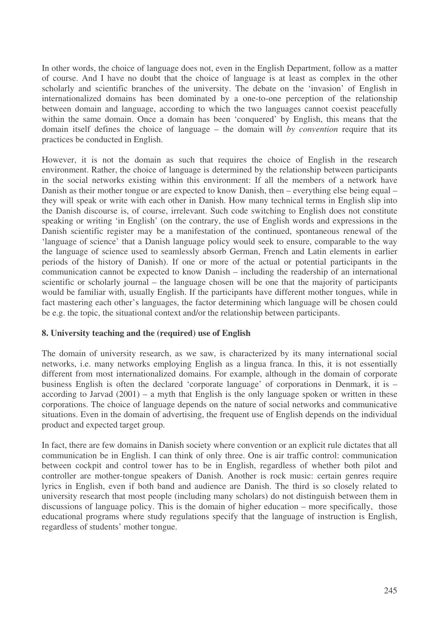In other words, the choice of language does not, even in the English Department, follow as a matter of course. And I have no doubt that the choice of language is at least as complex in the other scholarly and scientific branches of the university. The debate on the 'invasion' of English in internationalized domains has been dominated by a one-to-one perception of the relationship between domain and language, according to which the two languages cannot coexist peacefully within the same domain. Once a domain has been 'conquered' by English, this means that the domain itself defines the choice of language – the domain will *by convention* require that its practices be conducted in English.

However, it is not the domain as such that requires the choice of English in the research environment. Rather, the choice of language is determined by the relationship between participants in the social networks existing within this environment: If all the members of a network have Danish as their mother tongue or are expected to know Danish, then – everything else being equal – they will speak or write with each other in Danish. How many technical terms in English slip into the Danish discourse is, of course, irrelevant. Such code switching to English does not constitute speaking or writing 'in English' (on the contrary, the use of English words and expressions in the Danish scientific register may be a manifestation of the continued, spontaneous renewal of the 'language of science' that a Danish language policy would seek to ensure, comparable to the way the language of science used to seamlessly absorb German, French and Latin elements in earlier periods of the history of Danish). If one or more of the actual or potential participants in the communication cannot be expected to know Danish – including the readership of an international scientific or scholarly journal – the language chosen will be one that the majority of participants would be familiar with, usually English. If the participants have different mother tongues, while in fact mastering each other's languages, the factor determining which language will be chosen could be e.g. the topic, the situational context and/or the relationship between participants.

#### **8. University teaching and the (required) use of English**

The domain of university research, as we saw, is characterized by its many international social networks, i.e. many networks employing English as a lingua franca. In this, it is not essentially different from most internationalized domains. For example, although in the domain of corporate business English is often the declared 'corporate language' of corporations in Denmark, it is – according to Jarvad (2001) – a myth that English is the only language spoken or written in these corporations. The choice of language depends on the nature of social networks and communicative situations. Even in the domain of advertising, the frequent use of English depends on the individual product and expected target group.

In fact, there are few domains in Danish society where convention or an explicit rule dictates that all communication be in English. I can think of only three. One is air traffic control: communication between cockpit and control tower has to be in English, regardless of whether both pilot and controller are mother-tongue speakers of Danish. Another is rock music: certain genres require lyrics in English, even if both band and audience are Danish. The third is so closely related to university research that most people (including many scholars) do not distinguish between them in discussions of language policy. This is the domain of higher education – more specifically, those educational programs where study regulations specify that the language of instruction is English, regardless of students' mother tongue.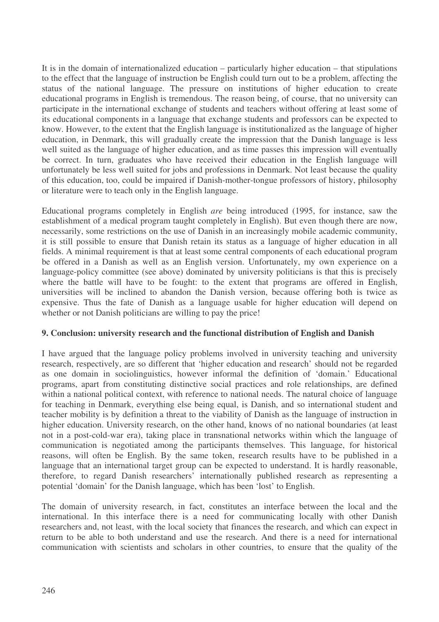It is in the domain of internationalized education – particularly higher education – that stipulations to the effect that the language of instruction be English could turn out to be a problem, affecting the status of the national language. The pressure on institutions of higher education to create educational programs in English is tremendous. The reason being, of course, that no university can participate in the international exchange of students and teachers without offering at least some of its educational components in a language that exchange students and professors can be expected to know. However, to the extent that the English language is institutionalized as the language of higher education, in Denmark, this will gradually create the impression that the Danish language is less well suited as the language of higher education, and as time passes this impression will eventually be correct. In turn, graduates who have received their education in the English language will unfortunately be less well suited for jobs and professions in Denmark. Not least because the quality of this education, too, could be impaired if Danish-mother-tongue professors of history, philosophy or literature were to teach only in the English language.

Educational programs completely in English *are* being introduced (1995, for instance, saw the establishment of a medical program taught completely in English). But even though there are now, necessarily, some restrictions on the use of Danish in an increasingly mobile academic community, it is still possible to ensure that Danish retain its status as a language of higher education in all fields. A minimal requirement is that at least some central components of each educational program be offered in a Danish as well as an English version. Unfortunately, my own experience on a language-policy committee (see above) dominated by university politicians is that this is precisely where the battle will have to be fought: to the extent that programs are offered in English, universities will be inclined to abandon the Danish version, because offering both is twice as expensive. Thus the fate of Danish as a language usable for higher education will depend on whether or not Danish politicians are willing to pay the price!

## **9. Conclusion: university research and the functional distribution of English and Danish**

I have argued that the language policy problems involved in university teaching and university research, respectively, are so different that 'higher education and research' should not be regarded as one domain in sociolinguistics, however informal the definition of 'domain.' Educational programs, apart from constituting distinctive social practices and role relationships, are defined within a national political context, with reference to national needs. The natural choice of language for teaching in Denmark, everything else being equal, is Danish, and so international student and teacher mobility is by definition a threat to the viability of Danish as the language of instruction in higher education. University research, on the other hand, knows of no national boundaries (at least not in a post-cold-war era), taking place in transnational networks within which the language of communication is negotiated among the participants themselves. This language, for historical reasons, will often be English. By the same token, research results have to be published in a language that an international target group can be expected to understand. It is hardly reasonable, therefore, to regard Danish researchers' internationally published research as representing a potential 'domain' for the Danish language, which has been 'lost' to English.

The domain of university research, in fact, constitutes an interface between the local and the international. In this interface there is a need for communicating locally with other Danish researchers and, not least, with the local society that finances the research, and which can expect in return to be able to both understand and use the research. And there is a need for international communication with scientists and scholars in other countries, to ensure that the quality of the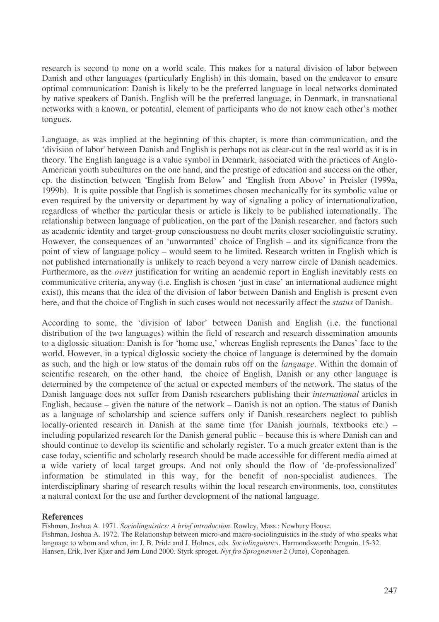research is second to none on a world scale. This makes for a natural division of labor between Danish and other languages (particularly English) in this domain, based on the endeavor to ensure optimal communication: Danish is likely to be the preferred language in local networks dominated by native speakers of Danish. English will be the preferred language, in Denmark, in transnational networks with a known, or potential, element of participants who do not know each other's mother tongues.

Language, as was implied at the beginning of this chapter, is more than communication, and the 'division of labor'between Danish and English is perhaps not as clear-cut in the real world as it is in theory. The English language is a value symbol in Denmark, associated with the practices of Anglo-American youth subcultures on the one hand, and the prestige of education and success on the other, cp. the distinction between 'English from Below' and 'English from Above' in Preisler (1999a, 1999b). It is quite possible that English is sometimes chosen mechanically for its symbolic value or even required by the university or department by way of signaling a policy of internationalization, regardless of whether the particular thesis or article is likely to be published internationally. The relationship between language of publication, on the part of the Danish researcher, and factors such as academic identity and target-group consciousness no doubt merits closer sociolinguistic scrutiny. However, the consequences of an 'unwarranted' choice of English – and its significance from the point of view of language policy – would seem to be limited. Research written in English which is not published internationally is unlikely to reach beyond a very narrow circle of Danish academics. Furthermore, as the *overt* justification for writing an academic report in English inevitably rests on communicative criteria, anyway (i.e. English is chosen 'just in case' an international audience might exist), this means that the idea of the division of labor between Danish and English is present even here, and that the choice of English in such cases would not necessarily affect the *status* of Danish.

According to some, the 'division of labor' between Danish and English (i.e. the functional distribution of the two languages) within the field of research and research dissemination amounts to a diglossic situation: Danish is for 'home use,' whereas English represents the Danes' face to the world. However, in a typical diglossic society the choice of language is determined by the domain as such, and the high or low status of the domain rubs off on the *language*. Within the domain of scientific research, on the other hand, the choice of English, Danish or any other language is determined by the competence of the actual or expected members of the network. The status of the Danish language does not suffer from Danish researchers publishing their *international* articles in English, because – given the nature of the network – Danish is not an option. The status of Danish as a language of scholarship and science suffers only if Danish researchers neglect to publish locally-oriented research in Danish at the same time (for Danish journals, textbooks etc.) – including popularized research for the Danish general public – because this is where Danish can and should continue to develop its scientific and scholarly register. To a much greater extent than is the case today, scientific and scholarly research should be made accessible for different media aimed at a wide variety of local target groups. And not only should the flow of 'de-professionalized' information be stimulated in this way, for the benefit of non-specialist audiences. The interdisciplinary sharing of research results within the local research environments, too, constitutes a natural context for the use and further development of the national language.

#### **References**

Fishman, Joshua A. 1971. *Sociolinguistics: A brief introduction*. Rowley, Mass.: Newbury House.

Fishman, Joshua A. 1972. The Relationship between micro-and macro-sociolinguistics in the study of who speaks what language to whom and when, in: J. B. Pride and J. Holmes, eds. *Sociolinguistics*. Harmondsworth: Penguin. 15-32. Hansen, Erik, Iver Kjær and Jørn Lund 2000. Styrk sproget. *Nyt fra Sprognævnet* 2 (June), Copenhagen.